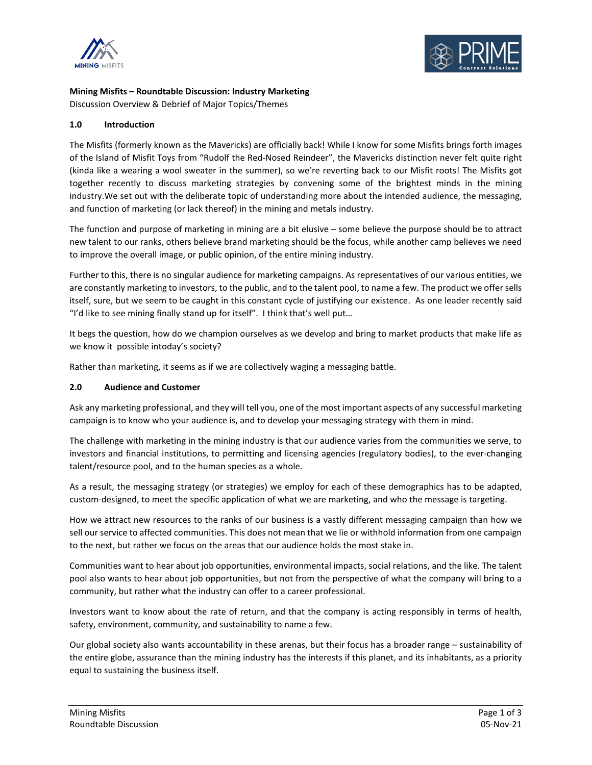



**Mining Misfits – Roundtable Discussion: Industry Marketing**

Discussion Overview & Debrief of Major Topics/Themes

# **1.0 Introduction**

The Misfits (formerly known as the Mavericks) are officially back! While I know for some Misfits brings forth images of the Island of Misfit Toys from "Rudolf the Red-Nosed Reindeer", the Mavericks distinction never felt quite right (kinda like a wearing a wool sweater in the summer), so we're reverting back to our Misfit roots! The Misfits got together recently to discuss marketing strategies by convening some of the brightest minds in the mining industry.We set out with the deliberate topic of understanding more about the intended audience, the messaging, and function of marketing (or lack thereof) in the mining and metals industry.

The function and purpose of marketing in mining are a bit elusive – some believe the purpose should be to attract new talent to our ranks, others believe brand marketing should be the focus, while another camp believes we need to improve the overall image, or public opinion, of the entire mining industry.

Further to this, there is no singular audience for marketing campaigns. As representatives of our various entities, we are constantly marketing to investors, to the public, and to the talent pool, to name a few. The product we offer sells itself, sure, but we seem to be caught in this constant cycle of justifying our existence. As one leader recently said "I'd like to see mining finally stand up for itself". I think that's well put…

It begs the question, how do we champion ourselves as we develop and bring to market products that make life as we know it possible intoday's society?

Rather than marketing, it seems as if we are collectively waging a messaging battle.

## **2.0 Audience and Customer**

Ask any marketing professional, and they will tell you, one of the most important aspects of any successful marketing campaign is to know who your audience is, and to develop your messaging strategy with them in mind.

The challenge with marketing in the mining industry is that our audience varies from the communities we serve, to investors and financial institutions, to permitting and licensing agencies (regulatory bodies), to the ever-changing talent/resource pool, and to the human species as a whole.

As a result, the messaging strategy (or strategies) we employ for each of these demographics has to be adapted, custom-designed, to meet the specific application of what we are marketing, and who the message is targeting.

How we attract new resources to the ranks of our business is a vastly different messaging campaign than how we sell our service to affected communities. This does not mean that we lie or withhold information from one campaign to the next, but rather we focus on the areas that our audience holds the most stake in.

Communities want to hear about job opportunities, environmental impacts, social relations, and the like. The talent pool also wants to hear about job opportunities, but not from the perspective of what the company will bring to a community, but rather what the industry can offer to a career professional.

Investors want to know about the rate of return, and that the company is acting responsibly in terms of health, safety, environment, community, and sustainability to name a few.

Our global society also wants accountability in these arenas, but their focus has a broader range – sustainability of the entire globe, assurance than the mining industry has the interests if this planet, and its inhabitants, as a priority equal to sustaining the business itself.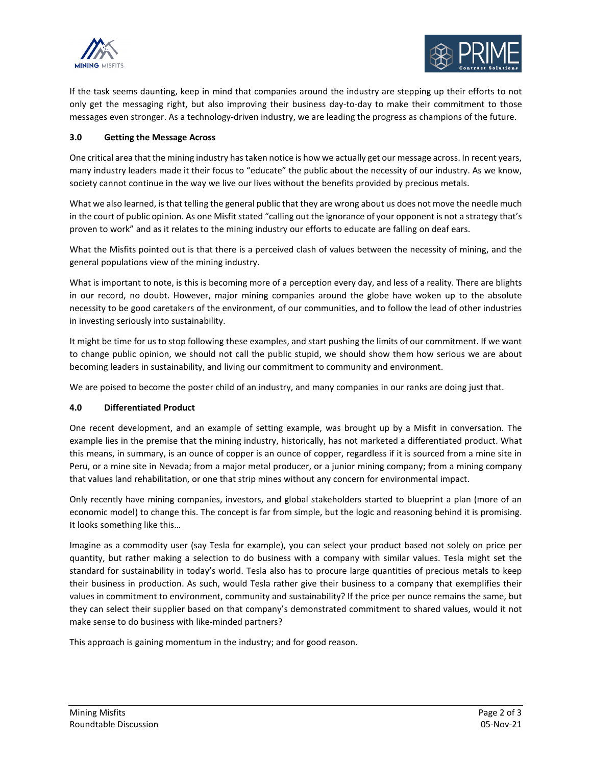



If the task seems daunting, keep in mind that companies around the industry are stepping up their efforts to not only get the messaging right, but also improving their business day-to-day to make their commitment to those messages even stronger. As a technology-driven industry, we are leading the progress as champions of the future.

### **3.0 Getting the Message Across**

One critical area that the mining industry has taken notice is how we actually get our message across. In recent years, many industry leaders made it their focus to "educate" the public about the necessity of our industry. As we know, society cannot continue in the way we live our lives without the benefits provided by precious metals.

What we also learned, is that telling the general public that they are wrong about us does not move the needle much in the court of public opinion. As one Misfit stated "calling out the ignorance of your opponent is not a strategy that's proven to work" and as it relates to the mining industry our efforts to educate are falling on deaf ears.

What the Misfits pointed out is that there is a perceived clash of values between the necessity of mining, and the general populations view of the mining industry.

What is important to note, is this is becoming more of a perception every day, and less of a reality. There are blights in our record, no doubt. However, major mining companies around the globe have woken up to the absolute necessity to be good caretakers of the environment, of our communities, and to follow the lead of other industries in investing seriously into sustainability.

It might be time for us to stop following these examples, and start pushing the limits of our commitment. If we want to change public opinion, we should not call the public stupid, we should show them how serious we are about becoming leaders in sustainability, and living our commitment to community and environment.

We are poised to become the poster child of an industry, and many companies in our ranks are doing just that.

### **4.0 Differentiated Product**

One recent development, and an example of setting example, was brought up by a Misfit in conversation. The example lies in the premise that the mining industry, historically, has not marketed a differentiated product. What this means, in summary, is an ounce of copper is an ounce of copper, regardless if it is sourced from a mine site in Peru, or a mine site in Nevada; from a major metal producer, or a junior mining company; from a mining company that values land rehabilitation, or one that strip mines without any concern for environmental impact.

Only recently have mining companies, investors, and global stakeholders started to blueprint a plan (more of an economic model) to change this. The concept is far from simple, but the logic and reasoning behind it is promising. It looks something like this…

Imagine as a commodity user (say Tesla for example), you can select your product based not solely on price per quantity, but rather making a selection to do business with a company with similar values. Tesla might set the standard for sustainability in today's world. Tesla also has to procure large quantities of precious metals to keep their business in production. As such, would Tesla rather give their business to a company that exemplifies their values in commitment to environment, community and sustainability? If the price per ounce remains the same, but they can select their supplier based on that company's demonstrated commitment to shared values, would it not make sense to do business with like-minded partners?

This approach is gaining momentum in the industry; and for good reason.